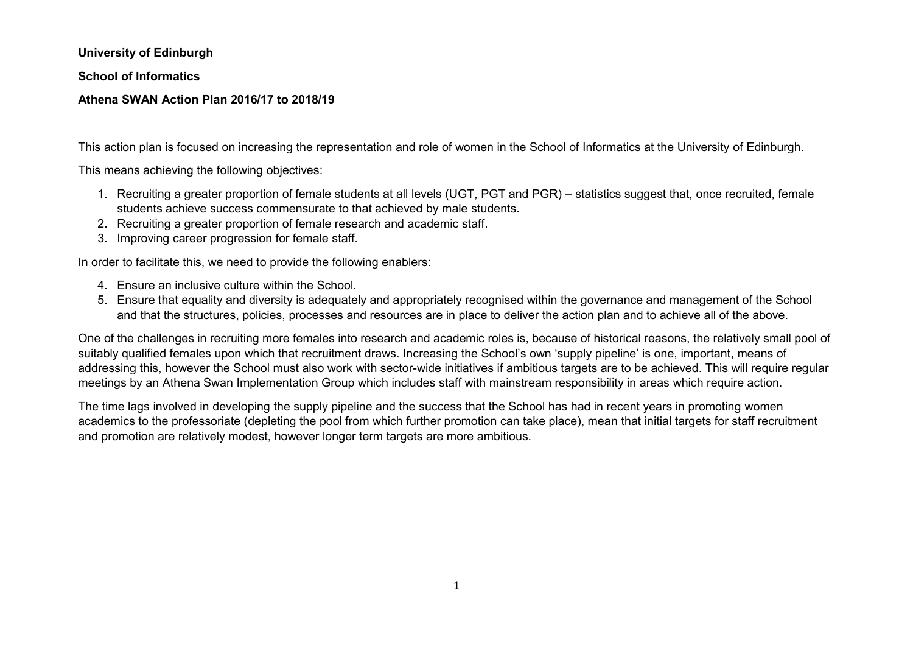**University of Edinburgh**

**School of Informatics**

#### **Athena SWAN Action Plan 2016/17 to 2018/19**

This action plan is focused on increasing the representation and role of women in the School of Informatics at the University of Edinburgh.

This means achieving the following objectives:

- 1. Recruiting a greater proportion of female students at all levels (UGT, PGT and PGR) statistics suggest that, once recruited, female students achieve success commensurate to that achieved by male students.
- 2. Recruiting a greater proportion of female research and academic staff.
- 3. Improving career progression for female staff.

In order to facilitate this, we need to provide the following enablers:

- 4. Ensure an inclusive culture within the School.
- 5. Ensure that equality and diversity is adequately and appropriately recognised within the governance and management of the School and that the structures, policies, processes and resources are in place to deliver the action plan and to achieve all of the above.

One of the challenges in recruiting more females into research and academic roles is, because of historical reasons, the relatively small pool of suitably qualified females upon which that recruitment draws. Increasing the School's own 'supply pipeline' is one, important, means of addressing this, however the School must also work with sector-wide initiatives if ambitious targets are to be achieved. This will require regular meetings by an Athena Swan Implementation Group which includes staff with mainstream responsibility in areas which require action.

The time lags involved in developing the supply pipeline and the success that the School has had in recent years in promoting women academics to the professoriate (depleting the pool from which further promotion can take place), mean that initial targets for staff recruitment and promotion are relatively modest, however longer term targets are more ambitious.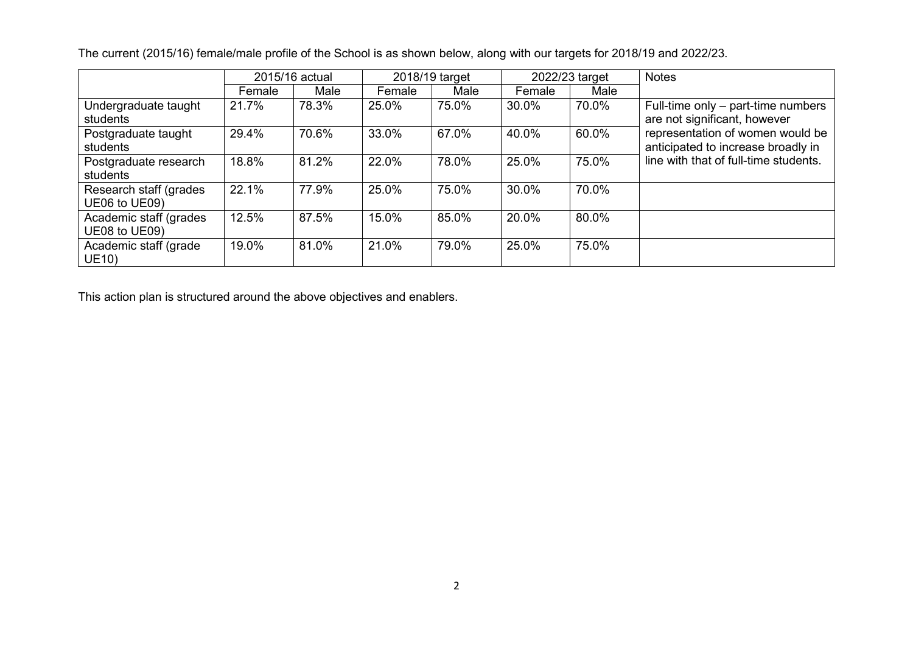|                                         |        | 2015/16 actual |        | 2018/19 target | 2022/23 target |       | <b>Notes</b>                                                           |
|-----------------------------------------|--------|----------------|--------|----------------|----------------|-------|------------------------------------------------------------------------|
|                                         | Female | Male           | Female | Male           | Female         | Male  |                                                                        |
| Undergraduate taught<br>students        | 21.7%  | 78.3%          | 25.0%  | 75.0%          | 30.0%          | 70.0% | Full-time only – part-time numbers<br>are not significant, however     |
| Postgraduate taught<br>students         | 29.4%  | 70.6%          | 33.0%  | 67.0%          | 40.0%          | 60.0% | representation of women would be<br>anticipated to increase broadly in |
| Postgraduate research<br>students       | 18.8%  | 81.2%          | 22.0%  | 78.0%          | 25.0%          | 75.0% | line with that of full-time students.                                  |
| Research staff (grades<br>UE06 to UE09) | 22.1%  | 77.9%          | 25.0%  | 75.0%          | 30.0%          | 70.0% |                                                                        |
| Academic staff (grades<br>UE08 to UE09) | 12.5%  | 87.5%          | 15.0%  | 85.0%          | 20.0%          | 80.0% |                                                                        |
| Academic staff (grade<br><b>UE10)</b>   | 19.0%  | 81.0%          | 21.0%  | 79.0%          | 25.0%          | 75.0% |                                                                        |

The current (2015/16) female/male profile of the School is as shown below, along with our targets for 2018/19 and 2022/23.

This action plan is structured around the above objectives and enablers.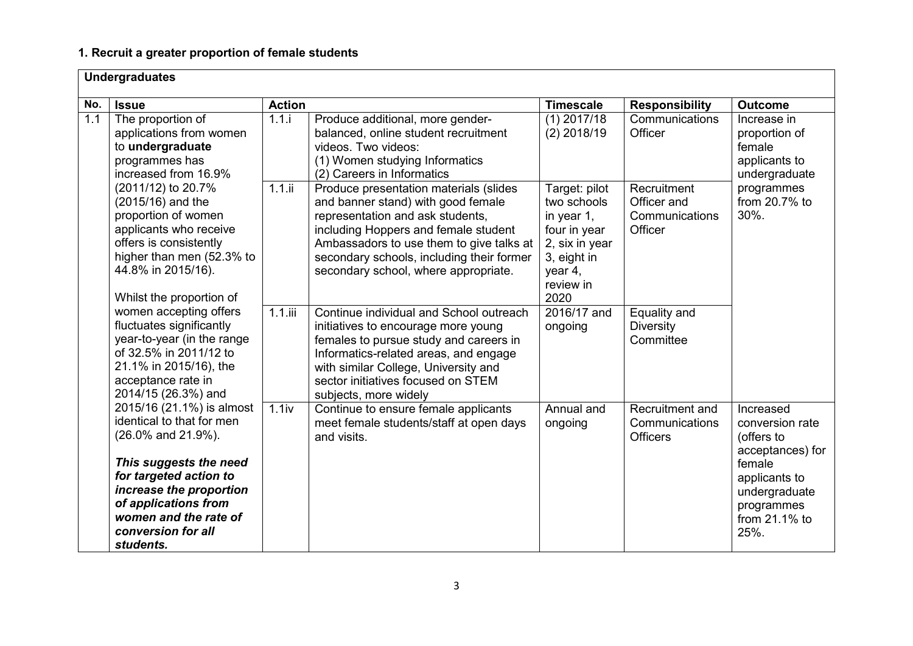# **1. Recruit a greater proportion of female students**

|     | <b>Undergraduates</b>                                                                                                                                                                                                                           |               |                                                                                                                                                                                                                                                                                           |                                                                                                                                |                                                                 |                                                                                                                                                   |  |  |
|-----|-------------------------------------------------------------------------------------------------------------------------------------------------------------------------------------------------------------------------------------------------|---------------|-------------------------------------------------------------------------------------------------------------------------------------------------------------------------------------------------------------------------------------------------------------------------------------------|--------------------------------------------------------------------------------------------------------------------------------|-----------------------------------------------------------------|---------------------------------------------------------------------------------------------------------------------------------------------------|--|--|
| No. | <b>Issue</b>                                                                                                                                                                                                                                    | <b>Action</b> |                                                                                                                                                                                                                                                                                           | <b>Timescale</b>                                                                                                               | <b>Responsibility</b>                                           | <b>Outcome</b>                                                                                                                                    |  |  |
| 1.1 | The proportion of<br>applications from women<br>to undergraduate<br>programmes has<br>increased from 16.9%                                                                                                                                      | 1.1.i         | Produce additional, more gender-<br>balanced, online student recruitment<br>videos. Two videos:<br>(1) Women studying Informatics<br>(2) Careers in Informatics                                                                                                                           | $(1)$ 2017/18<br>$(2)$ 2018/19                                                                                                 | Communications<br>Officer                                       | Increase in<br>proportion of<br>female<br>applicants to<br>undergraduate                                                                          |  |  |
|     | (2011/12) to 20.7%<br>(2015/16) and the<br>proportion of women<br>applicants who receive<br>offers is consistently<br>higher than men (52.3% to<br>44.8% in 2015/16).<br>Whilst the proportion of                                               | 1.1.ii        | Produce presentation materials (slides<br>and banner stand) with good female<br>representation and ask students,<br>including Hoppers and female student<br>Ambassadors to use them to give talks at<br>secondary schools, including their former<br>secondary school, where appropriate. | Target: pilot<br>two schools<br>in year $1$ ,<br>four in year<br>2, six in year<br>3, eight in<br>year 4,<br>review in<br>2020 | Recruitment<br>Officer and<br>30%.<br>Communications<br>Officer | programmes<br>from 20.7% to                                                                                                                       |  |  |
|     | women accepting offers<br>fluctuates significantly<br>year-to-year (in the range<br>of 32.5% in 2011/12 to<br>21.1% in 2015/16), the<br>acceptance rate in<br>2014/15 (26.3%) and                                                               | $1.1.$ iii    | Continue individual and School outreach<br>initiatives to encourage more young<br>females to pursue study and careers in<br>Informatics-related areas, and engage<br>with similar College, University and<br>sector initiatives focused on STEM<br>subjects, more widely                  | 2016/17 and<br>ongoing                                                                                                         | Equality and<br><b>Diversity</b><br>Committee                   |                                                                                                                                                   |  |  |
|     | 2015/16 (21.1%) is almost<br>identical to that for men<br>(26.0% and 21.9%).<br>This suggests the need<br>for targeted action to<br>increase the proportion<br>of applications from<br>women and the rate of<br>conversion for all<br>students. | 1.1iv         | Continue to ensure female applicants<br>meet female students/staff at open days<br>and visits.                                                                                                                                                                                            | Annual and<br>ongoing                                                                                                          | Recruitment and<br>Communications<br><b>Officers</b>            | Increased<br>conversion rate<br>(offers to<br>acceptances) for<br>female<br>applicants to<br>undergraduate<br>programmes<br>from 21.1% to<br>25%. |  |  |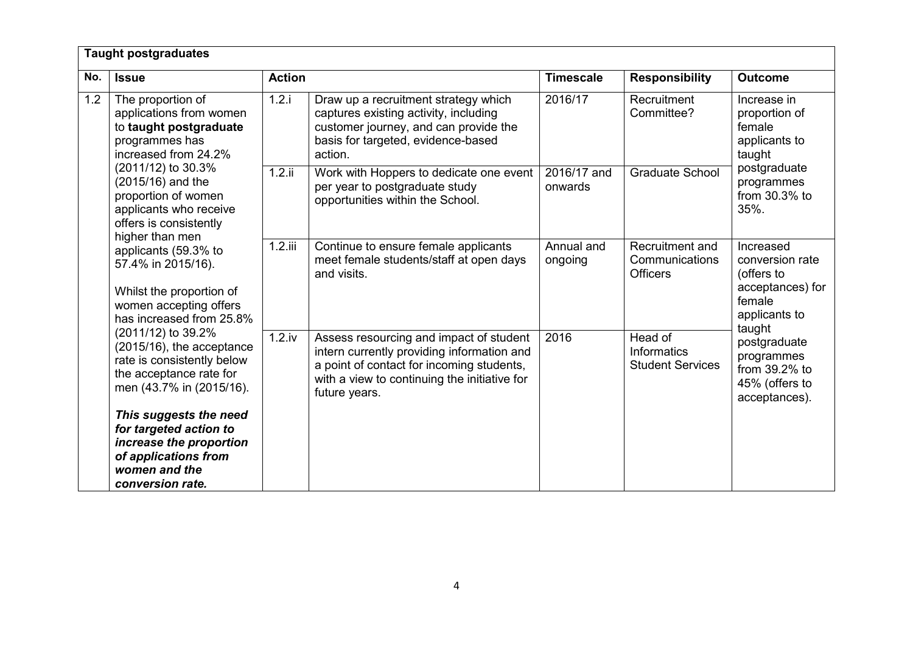|                                                                                       | <b>Taught postgraduates</b>                                                                                                                                                                                                                                          |               |                                                                                                                                                                                                     |                        |                                                      |                                                                                           |  |
|---------------------------------------------------------------------------------------|----------------------------------------------------------------------------------------------------------------------------------------------------------------------------------------------------------------------------------------------------------------------|---------------|-----------------------------------------------------------------------------------------------------------------------------------------------------------------------------------------------------|------------------------|------------------------------------------------------|-------------------------------------------------------------------------------------------|--|
| No.                                                                                   | <b>Issue</b>                                                                                                                                                                                                                                                         | <b>Action</b> |                                                                                                                                                                                                     | <b>Timescale</b>       | <b>Responsibility</b>                                | <b>Outcome</b>                                                                            |  |
| 1.2<br>The proportion of<br>programmes has<br>(2011/12) to 30.3%<br>(2015/16) and the | applications from women<br>to taught postgraduate<br>increased from 24.2%                                                                                                                                                                                            | 1.2.i         | Draw up a recruitment strategy which<br>captures existing activity, including<br>customer journey, and can provide the<br>basis for targeted, evidence-based<br>action.                             | 2016/17                | Recruitment<br>Committee?                            | Increase in<br>proportion of<br>female<br>applicants to<br>taught                         |  |
|                                                                                       | proportion of women<br>applicants who receive<br>offers is consistently<br>higher than men                                                                                                                                                                           | $1.2.$ ii     | Work with Hoppers to dedicate one event<br>per year to postgraduate study<br>opportunities within the School.                                                                                       | 2016/17 and<br>onwards | <b>Graduate School</b>                               | postgraduate<br>programmes<br>from 30.3% to<br>35%.                                       |  |
|                                                                                       | applicants (59.3% to<br>57.4% in 2015/16).<br>Whilst the proportion of<br>women accepting offers<br>has increased from 25.8%<br>(2011/12) to 39.2%<br>(2015/16), the acceptance<br>rate is consistently below<br>the acceptance rate for<br>men (43.7% in (2015/16). | $1.2.$ iii    | Continue to ensure female applicants<br>meet female students/staff at open days<br>and visits.                                                                                                      | Annual and<br>ongoing  | Recruitment and<br>Communications<br><b>Officers</b> | Increased<br>conversion rate<br>(offers to<br>acceptances) for<br>female<br>applicants to |  |
|                                                                                       |                                                                                                                                                                                                                                                                      | $1.2$ .iv     | Assess resourcing and impact of student<br>intern currently providing information and<br>a point of contact for incoming students,<br>with a view to continuing the initiative for<br>future years. | 2016                   | Head of<br>Informatics<br><b>Student Services</b>    | taught<br>postgraduate<br>programmes<br>from 39.2% to<br>45% (offers to<br>acceptances).  |  |
|                                                                                       | This suggests the need<br>for targeted action to<br>increase the proportion<br>of applications from<br>women and the<br>conversion rate.                                                                                                                             |               |                                                                                                                                                                                                     |                        |                                                      |                                                                                           |  |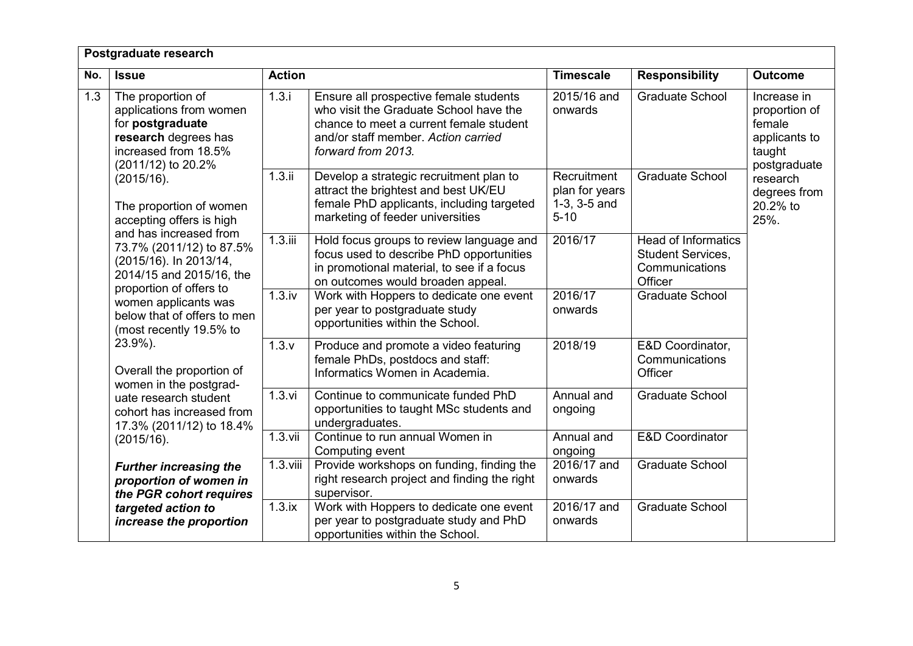|     | Postgraduate research                                                                                                                                                                                       |               |                                                                                                                                                                                          |                                                                |                                                                                     |                                                                                   |
|-----|-------------------------------------------------------------------------------------------------------------------------------------------------------------------------------------------------------------|---------------|------------------------------------------------------------------------------------------------------------------------------------------------------------------------------------------|----------------------------------------------------------------|-------------------------------------------------------------------------------------|-----------------------------------------------------------------------------------|
| No. | <b>Issue</b>                                                                                                                                                                                                | <b>Action</b> |                                                                                                                                                                                          | <b>Timescale</b>                                               | <b>Responsibility</b>                                                               | <b>Outcome</b>                                                                    |
| 1.3 | The proportion of<br>applications from women<br>for postgraduate<br>research degrees has<br>increased from 18.5%<br>(2011/12) to 20.2%<br>(2015/16).<br>The proportion of women<br>accepting offers is high | 1.3.i         | Ensure all prospective female students<br>who visit the Graduate School have the<br>chance to meet a current female student<br>and/or staff member. Action carried<br>forward from 2013. | 2015/16 and<br>onwards                                         | <b>Graduate School</b>                                                              | Increase in<br>proportion of<br>female<br>applicants to<br>taught<br>postgraduate |
|     |                                                                                                                                                                                                             | 1.3.ii        | Develop a strategic recruitment plan to<br>attract the brightest and best UK/EU<br>female PhD applicants, including targeted<br>marketing of feeder universities                         | Recruitment<br>plan for years<br>$1-3$ , $3-5$ and<br>$5 - 10$ | <b>Graduate School</b>                                                              | research<br>degrees from<br>20.2% to<br>25%.                                      |
|     | and has increased from<br>73.7% (2011/12) to 87.5%<br>(2015/16). In 2013/14,<br>2014/15 and 2015/16, the<br>proportion of offers to                                                                         | $1.3.$ iii    | Hold focus groups to review language and<br>focus used to describe PhD opportunities<br>in promotional material, to see if a focus<br>on outcomes would broaden appeal.                  | 2016/17                                                        | <b>Head of Informatics</b><br><b>Student Services,</b><br>Communications<br>Officer |                                                                                   |
|     | women applicants was<br>below that of offers to men<br>(most recently 19.5% to                                                                                                                              | 1.3.iv        | Work with Hoppers to dedicate one event<br>per year to postgraduate study<br>opportunities within the School.                                                                            | 2016/17<br>onwards                                             | <b>Graduate School</b>                                                              |                                                                                   |
|     | 23.9%).<br>Overall the proportion of<br>women in the postgrad-<br>uate research student<br>cohort has increased from<br>17.3% (2011/12) to 18.4%<br>(2015/16).                                              | 1.3.v         | Produce and promote a video featuring<br>female PhDs, postdocs and staff:<br>Informatics Women in Academia.                                                                              | 2018/19                                                        | E&D Coordinator,<br>Communications<br>Officer                                       |                                                                                   |
|     |                                                                                                                                                                                                             | $1.3.$ vi     | Continue to communicate funded PhD<br>opportunities to taught MSc students and<br>undergraduates.                                                                                        | Annual and<br>ongoing                                          | <b>Graduate School</b>                                                              |                                                                                   |
|     |                                                                                                                                                                                                             | $1.3.$ vii    | Continue to run annual Women in<br>Computing event                                                                                                                                       | Annual and<br>ongoing                                          | E&D Coordinator                                                                     |                                                                                   |
|     | <b>Further increasing the</b><br>proportion of women in<br>the PGR cohort requires                                                                                                                          | $1.3.$ viii   | Provide workshops on funding, finding the<br>right research project and finding the right<br>supervisor.                                                                                 | 2016/17 and<br>onwards                                         | <b>Graduate School</b>                                                              |                                                                                   |
|     | targeted action to<br>increase the proportion                                                                                                                                                               | 1.3.ix        | Work with Hoppers to dedicate one event<br>per year to postgraduate study and PhD<br>opportunities within the School.                                                                    | 2016/17 and<br>onwards                                         | <b>Graduate School</b>                                                              |                                                                                   |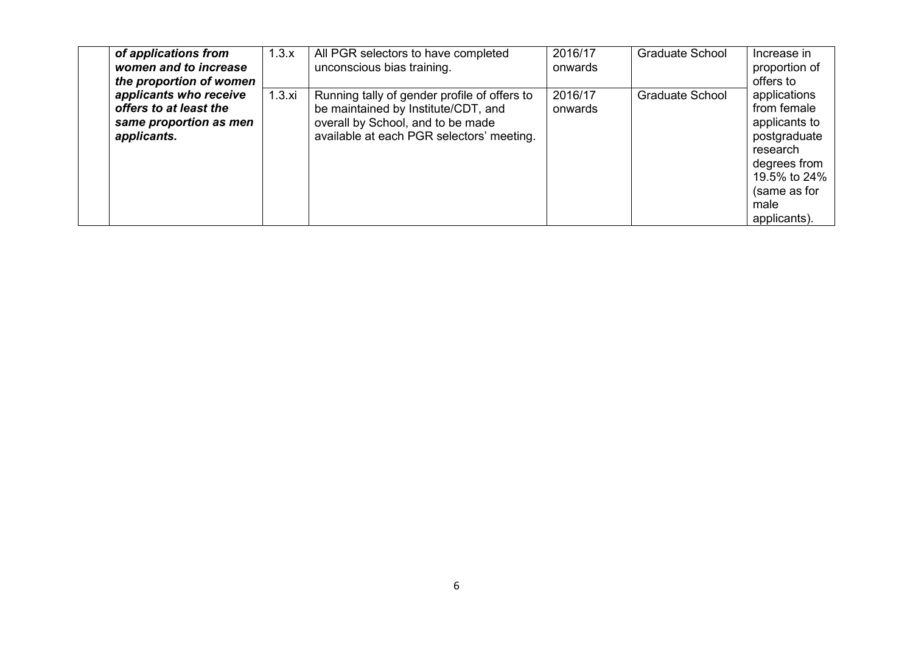| of applications from<br>women and to increase<br>the proportion of women                  | 1.3.x | All PGR selectors to have completed<br>unconscious bias training.                                                                                                     | 2016/17<br>onwards | <b>Graduate School</b> | Increase in<br>proportion of<br>offers to                                                                                                        |
|-------------------------------------------------------------------------------------------|-------|-----------------------------------------------------------------------------------------------------------------------------------------------------------------------|--------------------|------------------------|--------------------------------------------------------------------------------------------------------------------------------------------------|
| applicants who receive<br>offers to at least the<br>same proportion as men<br>applicants. | 1.3.x | Running tally of gender profile of offers to<br>be maintained by Institute/CDT, and<br>overall by School, and to be made<br>available at each PGR selectors' meeting. | 2016/17<br>onwards | <b>Graduate School</b> | applications<br>from female<br>applicants to<br>postgraduate<br>research<br>degrees from<br>19.5% to 24%<br>(same as for<br>male<br>applicants). |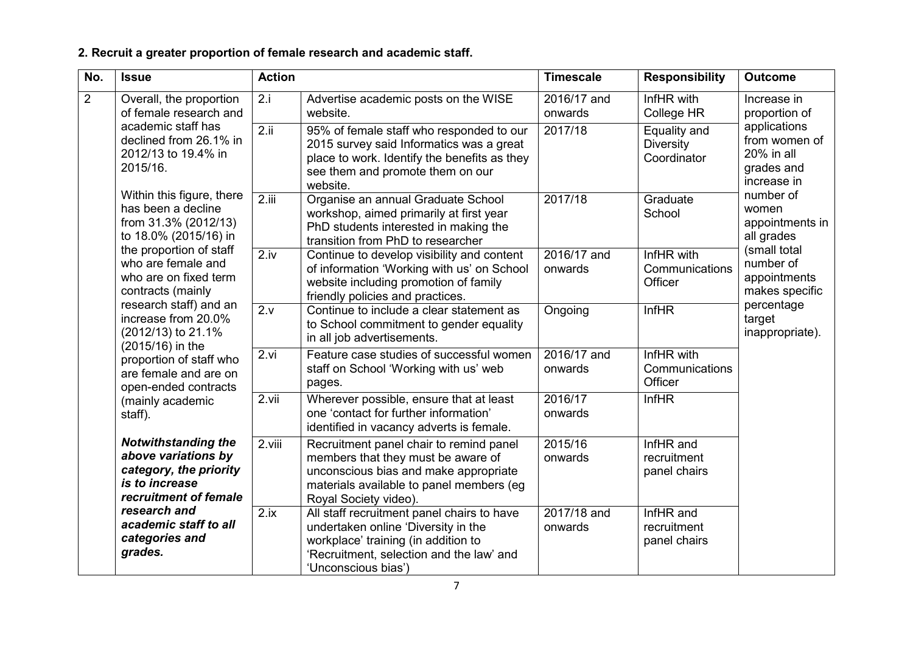# **2. Recruit a greater proportion of female research and academic staff.**

| No.                                                                | <b>Issue</b>                                                                                                                                                                                                                                                                                                                                                                                                                                                                                                                                  | <b>Action</b> |                                                                                                                                                                                             | <b>Timescale</b>       | <b>Responsibility</b>                           | <b>Outcome</b>                                                           |
|--------------------------------------------------------------------|-----------------------------------------------------------------------------------------------------------------------------------------------------------------------------------------------------------------------------------------------------------------------------------------------------------------------------------------------------------------------------------------------------------------------------------------------------------------------------------------------------------------------------------------------|---------------|---------------------------------------------------------------------------------------------------------------------------------------------------------------------------------------------|------------------------|-------------------------------------------------|--------------------------------------------------------------------------|
| $\overline{2}$                                                     | Overall, the proportion<br>of female research and<br>academic staff has<br>declined from 26.1% in<br>2012/13 to 19.4% in<br>2015/16.<br>Within this figure, there<br>has been a decline<br>from 31.3% (2012/13)<br>to 18.0% (2015/16) in<br>the proportion of staff<br>who are female and<br>who are on fixed term<br>contracts (mainly<br>research staff) and an<br>increase from 20.0%<br>(2012/13) to 21.1%<br>(2015/16) in the<br>proportion of staff who<br>are female and are on<br>open-ended contracts<br>(mainly academic<br>staff). | 2.i           | Advertise academic posts on the WISE<br>website.                                                                                                                                            | 2016/17 and<br>onwards | InfHR with<br>College HR                        | Increase in<br>proportion of                                             |
|                                                                    |                                                                                                                                                                                                                                                                                                                                                                                                                                                                                                                                               | 2.ii          | 95% of female staff who responded to our<br>2015 survey said Informatics was a great<br>place to work. Identify the benefits as they<br>see them and promote them on our<br>website.        | 2017/18                | Equality and<br><b>Diversity</b><br>Coordinator | applications<br>from women of<br>20% in all<br>grades and<br>increase in |
|                                                                    |                                                                                                                                                                                                                                                                                                                                                                                                                                                                                                                                               | 2.iii         | Organise an annual Graduate School<br>workshop, aimed primarily at first year<br>PhD students interested in making the<br>transition from PhD to researcher                                 | 2017/18                | Graduate<br>School                              | number of<br>women<br>appointments in<br>all grades                      |
|                                                                    |                                                                                                                                                                                                                                                                                                                                                                                                                                                                                                                                               | 2.iv          | Continue to develop visibility and content<br>of information 'Working with us' on School<br>website including promotion of family<br>friendly policies and practices.                       | 2016/17 and<br>onwards | InfHR with<br>Communications<br>Officer         | (small total<br>number of<br>appointments<br>makes specific              |
|                                                                    |                                                                                                                                                                                                                                                                                                                                                                                                                                                                                                                                               | 2.v           | Continue to include a clear statement as<br>to School commitment to gender equality<br>in all job advertisements.                                                                           | Ongoing                | <b>InfHR</b>                                    | percentage<br>target<br>inappropriate).                                  |
|                                                                    |                                                                                                                                                                                                                                                                                                                                                                                                                                                                                                                                               | 2. vi         | Feature case studies of successful women<br>staff on School 'Working with us' web<br>pages.                                                                                                 | 2016/17 and<br>onwards | InfHR with<br>Communications<br>Officer         |                                                                          |
|                                                                    |                                                                                                                                                                                                                                                                                                                                                                                                                                                                                                                                               | 2.vii         | Wherever possible, ensure that at least<br>one 'contact for further information'<br>identified in vacancy adverts is female.                                                                | 2016/17<br>onwards     | <b>InfHR</b>                                    |                                                                          |
|                                                                    | <b>Notwithstanding the</b><br>above variations by<br>category, the priority<br>is to increase<br>recruitment of female                                                                                                                                                                                                                                                                                                                                                                                                                        |               | Recruitment panel chair to remind panel<br>members that they must be aware of<br>unconscious bias and make appropriate<br>materials available to panel members (eg<br>Royal Society video). | 2015/16<br>onwards     | InfHR and<br>recruitment<br>panel chairs        |                                                                          |
| research and<br>academic staff to all<br>categories and<br>grades. |                                                                                                                                                                                                                                                                                                                                                                                                                                                                                                                                               | 2.ix          | All staff recruitment panel chairs to have<br>undertaken online 'Diversity in the<br>workplace' training (in addition to<br>'Recruitment, selection and the law' and<br>'Unconscious bias') | 2017/18 and<br>onwards | InfHR and<br>recruitment<br>panel chairs        |                                                                          |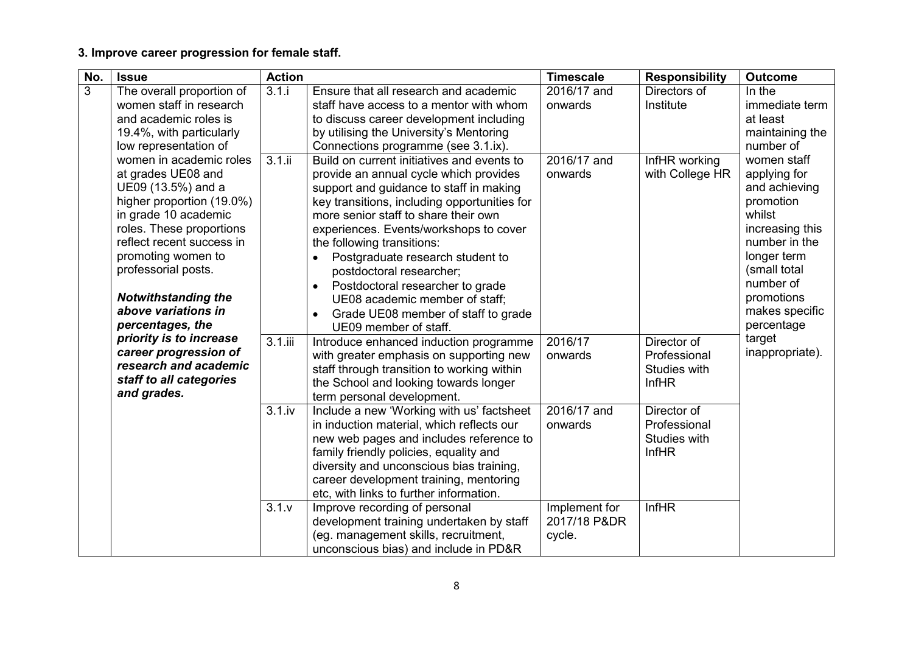## **3. Improve career progression for female staff.**

| No. | <b>Issue</b>                                                                                                                                                                                                                                                                                            | <b>Action</b>        |                                                                                                                                                                                                                                                                                                                                                                                                                                                                                                                                              | <b>Timescale</b>                             | <b>Responsibility</b>                                                                                                      | <b>Outcome</b>                                                                                                                                                                                    |
|-----|---------------------------------------------------------------------------------------------------------------------------------------------------------------------------------------------------------------------------------------------------------------------------------------------------------|----------------------|----------------------------------------------------------------------------------------------------------------------------------------------------------------------------------------------------------------------------------------------------------------------------------------------------------------------------------------------------------------------------------------------------------------------------------------------------------------------------------------------------------------------------------------------|----------------------------------------------|----------------------------------------------------------------------------------------------------------------------------|---------------------------------------------------------------------------------------------------------------------------------------------------------------------------------------------------|
| 3   | The overall proportion of<br>women staff in research<br>and academic roles is<br>19.4%, with particularly<br>low representation of                                                                                                                                                                      | 3.1.i                | Ensure that all research and academic<br>staff have access to a mentor with whom<br>to discuss career development including<br>by utilising the University's Mentoring<br>Connections programme (see 3.1.ix).                                                                                                                                                                                                                                                                                                                                | 2016/17 and<br>onwards                       | Directors of<br>Institute                                                                                                  | In the<br>immediate term<br>at least<br>maintaining the<br>number of                                                                                                                              |
|     | women in academic roles<br>at grades UE08 and<br>UE09 (13.5%) and a<br>higher proportion (19.0%)<br>in grade 10 academic<br>roles. These proportions<br>reflect recent success in<br>promoting women to<br>professorial posts.<br><b>Notwithstanding the</b><br>above variations in<br>percentages, the | 3.1.ii               | Build on current initiatives and events to<br>provide an annual cycle which provides<br>support and guidance to staff in making<br>key transitions, including opportunities for<br>more senior staff to share their own<br>experiences. Events/workshops to cover<br>the following transitions:<br>Postgraduate research student to<br>$\bullet$<br>postdoctoral researcher;<br>Postdoctoral researcher to grade<br>$\bullet$<br>UE08 academic member of staff;<br>Grade UE08 member of staff to grade<br>$\bullet$<br>UE09 member of staff. | 2016/17 and<br>onwards                       | InfHR working<br>with College HR                                                                                           | women staff<br>applying for<br>and achieving<br>promotion<br>whilst<br>increasing this<br>number in the<br>longer term<br>(small total<br>number of<br>promotions<br>makes specific<br>percentage |
|     | priority is to increase<br>career progression of<br>research and academic<br>staff to all categories<br>and grades.                                                                                                                                                                                     | $3.1.$ iii<br>3.1.iv | Introduce enhanced induction programme<br>with greater emphasis on supporting new<br>staff through transition to working within<br>the School and looking towards longer<br>term personal development.<br>Include a new 'Working with us' factsheet<br>in induction material, which reflects our<br>new web pages and includes reference to<br>family friendly policies, equality and                                                                                                                                                        | 2016/17<br>onwards<br>2016/17 and<br>onwards | Director of<br>Professional<br>Studies with<br><b>InfHR</b><br>Director of<br>Professional<br>Studies with<br><b>InfHR</b> | target<br>inappropriate).                                                                                                                                                                         |
|     |                                                                                                                                                                                                                                                                                                         | 3.1.x                | diversity and unconscious bias training,<br>career development training, mentoring<br>etc, with links to further information.<br>Improve recording of personal<br>development training undertaken by staff<br>(eg. management skills, recruitment,<br>unconscious bias) and include in PD&R                                                                                                                                                                                                                                                  | Implement for<br>2017/18 P&DR<br>cycle.      | <b>InfHR</b>                                                                                                               |                                                                                                                                                                                                   |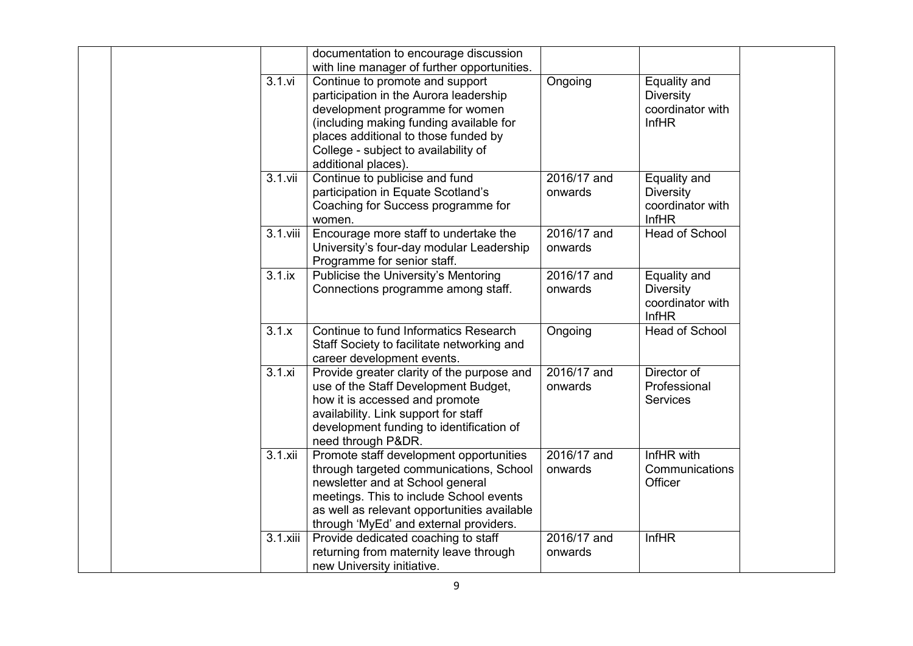|            | documentation to encourage discussion<br>with line manager of further opportunities.                                                                                                                                                                           |                          |                                                                      |
|------------|----------------------------------------------------------------------------------------------------------------------------------------------------------------------------------------------------------------------------------------------------------------|--------------------------|----------------------------------------------------------------------|
| $3.1.$ vi  | Continue to promote and support<br>participation in the Aurora leadership<br>development programme for women<br>(including making funding available for<br>places additional to those funded by<br>College - subject to availability of<br>additional places). | Ongoing                  | Equality and<br><b>Diversity</b><br>coordinator with<br><b>InfHR</b> |
| $3.1.$ vii | Continue to publicise and fund<br>participation in Equate Scotland's<br>Coaching for Success programme for<br>women.                                                                                                                                           | 2016/17 and<br>onwards   | Equality and<br><b>Diversity</b><br>coordinator with<br><b>InfHR</b> |
| 3.1.viii   | Encourage more staff to undertake the<br>University's four-day modular Leadership<br>Programme for senior staff.                                                                                                                                               | 2016/17 and<br>onwards   | Head of School                                                       |
| 3.1.ix     | Publicise the University's Mentoring<br>Connections programme among staff.                                                                                                                                                                                     | 2016/17 and<br>onwards   | Equality and<br>Diversity<br>coordinator with<br><b>InfHR</b>        |
| 3.1.x      | Continue to fund Informatics Research<br>Staff Society to facilitate networking and<br>career development events.                                                                                                                                              | Ongoing                  | Head of School                                                       |
| 3.1.x      | Provide greater clarity of the purpose and<br>use of the Staff Development Budget,<br>how it is accessed and promote<br>availability. Link support for staff<br>development funding to identification of<br>need through P&DR.                                 | 2016/17 and<br>onwards   | Director of<br>Professional<br><b>Services</b>                       |
| 3.1 xii    | Promote staff development opportunities<br>through targeted communications, School<br>newsletter and at School general<br>meetings. This to include School events<br>as well as relevant opportunities available<br>through 'MyEd' and external providers.     | $2016/17$ and<br>onwards | InfHR with<br>Communications<br>Officer                              |
| 3.1.xiii   | Provide dedicated coaching to staff<br>returning from maternity leave through<br>new University initiative.                                                                                                                                                    | 2016/17 and<br>onwards   | InfHR                                                                |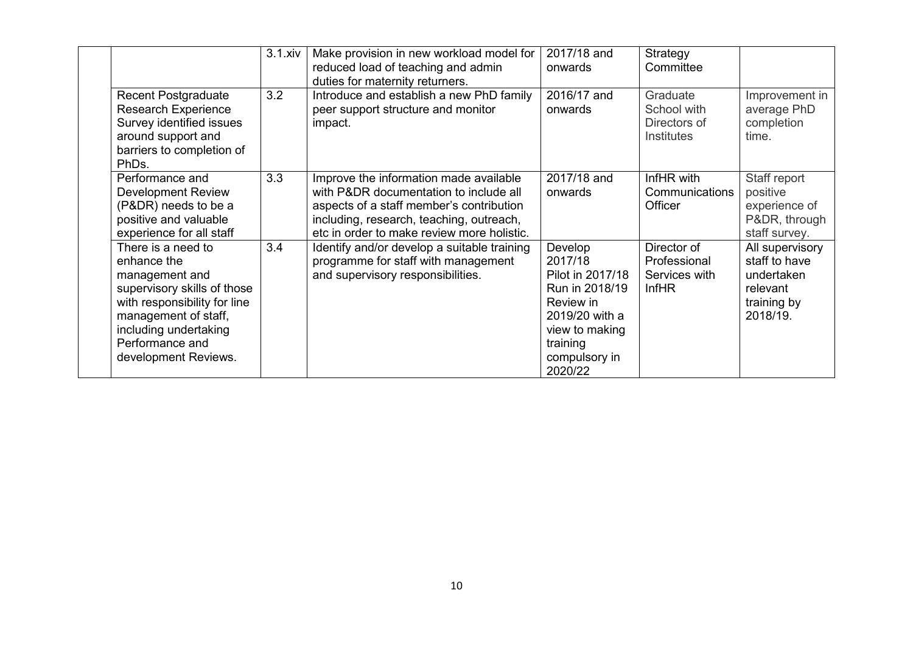|                              | 3.1 xiv | Make provision in new workload model for    | 2017/18 and      | Strategy       |                 |
|------------------------------|---------|---------------------------------------------|------------------|----------------|-----------------|
|                              |         | reduced load of teaching and admin          | onwards          | Committee      |                 |
|                              |         | duties for maternity returners.             |                  |                |                 |
| <b>Recent Postgraduate</b>   | 3.2     | Introduce and establish a new PhD family    | 2016/17 and      | Graduate       | Improvement in  |
| <b>Research Experience</b>   |         | peer support structure and monitor          | onwards          | School with    | average PhD     |
| Survey identified issues     |         | impact.                                     |                  | Directors of   | completion      |
| around support and           |         |                                             |                  | Institutes     | time.           |
| barriers to completion of    |         |                                             |                  |                |                 |
| PhDs.                        |         |                                             |                  |                |                 |
| Performance and              | 3.3     | Improve the information made available      | 2017/18 and      | InfHR with     | Staff report    |
| Development Review           |         | with P&DR documentation to include all      | onwards          | Communications | positive        |
| (P&DR) needs to be a         |         | aspects of a staff member's contribution    |                  | Officer        | experience of   |
| positive and valuable        |         | including, research, teaching, outreach,    |                  |                | P&DR, through   |
| experience for all staff     |         | etc in order to make review more holistic.  |                  |                | staff survey.   |
| There is a need to           | 3.4     | Identify and/or develop a suitable training | Develop          | Director of    | All supervisory |
| enhance the                  |         | programme for staff with management         | 2017/18          | Professional   | staff to have   |
| management and               |         | and supervisory responsibilities.           | Pilot in 2017/18 | Services with  | undertaken      |
| supervisory skills of those  |         |                                             | Run in 2018/19   | <b>InfHR</b>   | relevant        |
| with responsibility for line |         |                                             | Review in        |                | training by     |
| management of staff,         |         |                                             | 2019/20 with a   |                | 2018/19.        |
| including undertaking        |         |                                             | view to making   |                |                 |
| Performance and              |         |                                             | training         |                |                 |
| development Reviews.         |         |                                             | compulsory in    |                |                 |
|                              |         |                                             | 2020/22          |                |                 |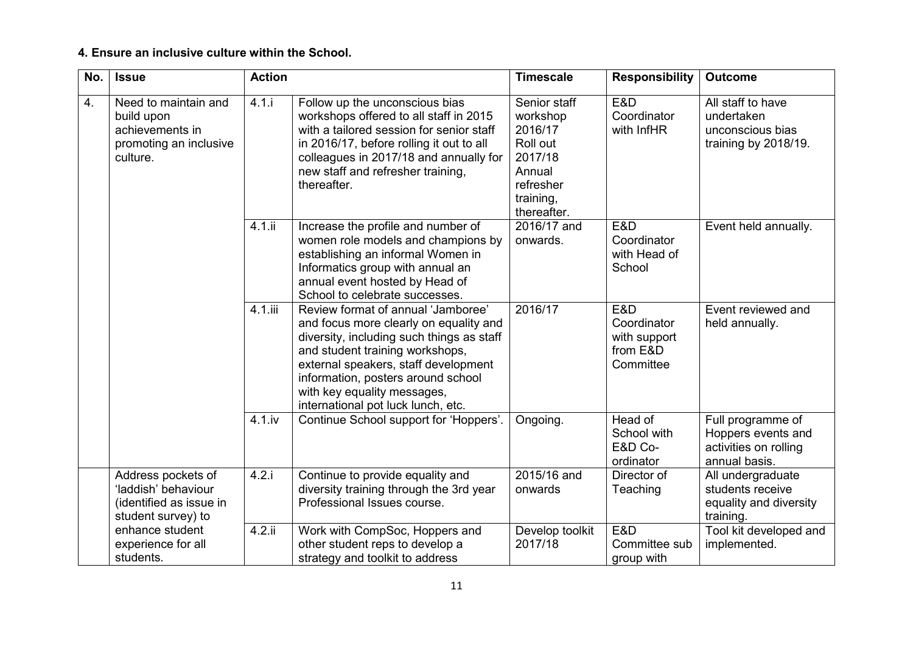### **4. Ensure an inclusive culture within the School.**

| No. | <b>Issue</b>                                                                                | <b>Action</b> |                                                                                                                                                                                                                                                                                                                 | <b>Timescale</b>                                                                                              | <b>Responsibility</b>                                       | <b>Outcome</b>                                                                    |
|-----|---------------------------------------------------------------------------------------------|---------------|-----------------------------------------------------------------------------------------------------------------------------------------------------------------------------------------------------------------------------------------------------------------------------------------------------------------|---------------------------------------------------------------------------------------------------------------|-------------------------------------------------------------|-----------------------------------------------------------------------------------|
| 4.  | Need to maintain and<br>build upon<br>achievements in<br>promoting an inclusive<br>culture. | 4.1.i         | Follow up the unconscious bias<br>workshops offered to all staff in 2015<br>with a tailored session for senior staff<br>in 2016/17, before rolling it out to all<br>colleagues in 2017/18 and annually for<br>new staff and refresher training,<br>thereafter.                                                  | Senior staff<br>workshop<br>2016/17<br>Roll out<br>2017/18<br>Annual<br>refresher<br>training,<br>thereafter. | E&D<br>Coordinator<br>with InfHR                            | All staff to have<br>undertaken<br>unconscious bias<br>training by 2018/19.       |
|     |                                                                                             | $4.1.$ ii     | Increase the profile and number of<br>women role models and champions by<br>establishing an informal Women in<br>Informatics group with annual an<br>annual event hosted by Head of<br>School to celebrate successes.                                                                                           | 2016/17 and<br>onwards.                                                                                       | E&D<br>Coordinator<br>with Head of<br>School                | Event held annually.                                                              |
|     |                                                                                             | $4.1.$ iii    | Review format of annual 'Jamboree'<br>and focus more clearly on equality and<br>diversity, including such things as staff<br>and student training workshops,<br>external speakers, staff development<br>information, posters around school<br>with key equality messages,<br>international pot luck lunch, etc. | 2016/17                                                                                                       | E&D<br>Coordinator<br>with support<br>from E&D<br>Committee | Event reviewed and<br>held annually.                                              |
|     |                                                                                             | $4.1$ . iv    | Continue School support for 'Hoppers'.                                                                                                                                                                                                                                                                          | Ongoing.                                                                                                      | Head of<br>School with<br>E&D Co-<br>ordinator              | Full programme of<br>Hoppers events and<br>activities on rolling<br>annual basis. |
|     | Address pockets of<br>'laddish' behaviour<br>(identified as issue in<br>student survey) to  | 4.2.i         | Continue to provide equality and<br>diversity training through the 3rd year<br>Professional Issues course.                                                                                                                                                                                                      | 2015/16 and<br>onwards                                                                                        | Director of<br>Teaching                                     | All undergraduate<br>students receive<br>equality and diversity<br>training.      |
|     | enhance student<br>experience for all<br>students.                                          | $4.2.$ ii     | Work with CompSoc, Hoppers and<br>other student reps to develop a<br>strategy and toolkit to address                                                                                                                                                                                                            | Develop toolkit<br>2017/18                                                                                    | E&D<br>Committee sub<br>group with                          | Tool kit developed and<br>implemented.                                            |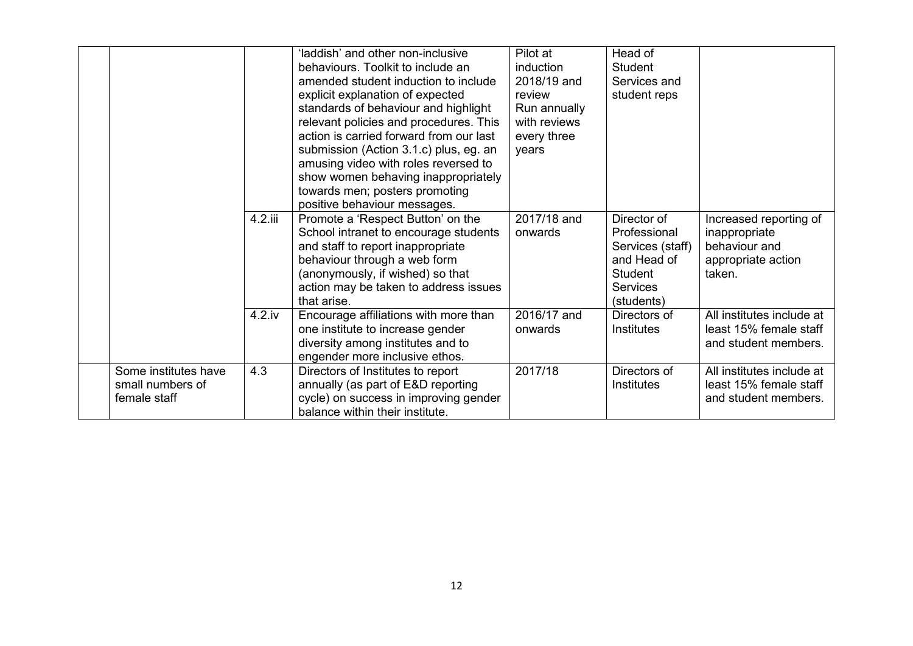|                                                          |            | 'laddish' and other non-inclusive<br>behaviours. Toolkit to include an<br>amended student induction to include<br>explicit explanation of expected<br>standards of behaviour and highlight<br>relevant policies and procedures. This<br>action is carried forward from our last<br>submission (Action 3.1.c) plus, eg. an<br>amusing video with roles reversed to<br>show women behaving inappropriately<br>towards men; posters promoting<br>positive behaviour messages. | Pilot at<br>induction<br>2018/19 and<br>review<br>Run annually<br>with reviews<br>every three<br>years | Head of<br><b>Student</b><br>Services and<br>student reps                                                  |                                                                                          |
|----------------------------------------------------------|------------|----------------------------------------------------------------------------------------------------------------------------------------------------------------------------------------------------------------------------------------------------------------------------------------------------------------------------------------------------------------------------------------------------------------------------------------------------------------------------|--------------------------------------------------------------------------------------------------------|------------------------------------------------------------------------------------------------------------|------------------------------------------------------------------------------------------|
|                                                          | 4.2.iii    | Promote a 'Respect Button' on the<br>School intranet to encourage students<br>and staff to report inappropriate<br>behaviour through a web form<br>(anonymously, if wished) so that<br>action may be taken to address issues<br>that arise.                                                                                                                                                                                                                                | 2017/18 and<br>onwards                                                                                 | Director of<br>Professional<br>Services (staff)<br>and Head of<br>Student<br><b>Services</b><br>(students) | Increased reporting of<br>inappropriate<br>behaviour and<br>appropriate action<br>taken. |
|                                                          | $4.2$ . iv | Encourage affiliations with more than<br>one institute to increase gender<br>diversity among institutes and to<br>engender more inclusive ethos.                                                                                                                                                                                                                                                                                                                           | 2016/17 and<br>onwards                                                                                 | Directors of<br>Institutes                                                                                 | All institutes include at<br>least 15% female staff<br>and student members.              |
| Some institutes have<br>small numbers of<br>female staff | 4.3        | Directors of Institutes to report<br>annually (as part of E&D reporting<br>cycle) on success in improving gender<br>balance within their institute.                                                                                                                                                                                                                                                                                                                        | 2017/18                                                                                                | Directors of<br><b>Institutes</b>                                                                          | All institutes include at<br>least 15% female staff<br>and student members.              |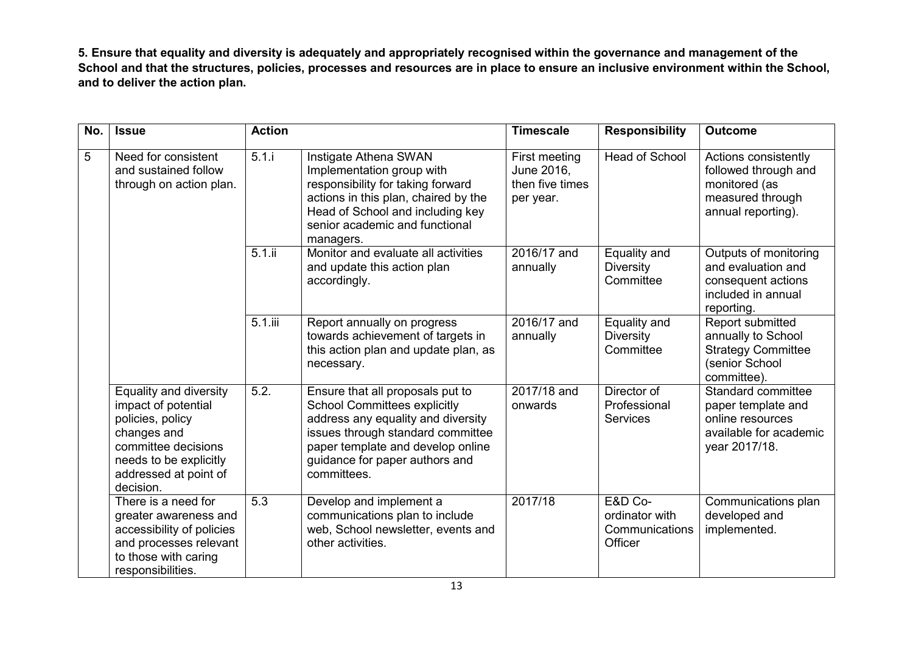**5. Ensure that equality and diversity is adequately and appropriately recognised within the governance and management of the School and that the structures, policies, processes and resources are in place to ensure an inclusive environment within the School, and to deliver the action plan.**

| No. | <b>Issue</b>                                                                                                                                                            | <b>Action</b>      |                                                                                                                                                                                                                                          | <b>Timescale</b>                                            | <b>Responsibility</b>                                  | <b>Outcome</b>                                                                                          |
|-----|-------------------------------------------------------------------------------------------------------------------------------------------------------------------------|--------------------|------------------------------------------------------------------------------------------------------------------------------------------------------------------------------------------------------------------------------------------|-------------------------------------------------------------|--------------------------------------------------------|---------------------------------------------------------------------------------------------------------|
| 5   | Need for consistent<br>and sustained follow<br>through on action plan.                                                                                                  | $\overline{5.1}$ . | Instigate Athena SWAN<br>Implementation group with<br>responsibility for taking forward<br>actions in this plan, chaired by the<br>Head of School and including key<br>senior academic and functional<br>managers.                       | First meeting<br>June 2016,<br>then five times<br>per year. | <b>Head of School</b>                                  | Actions consistently<br>followed through and<br>monitored (as<br>measured through<br>annual reporting). |
|     |                                                                                                                                                                         | $5.1$ .ii          | Monitor and evaluate all activities<br>and update this action plan<br>accordingly.                                                                                                                                                       | 2016/17 and<br>annually                                     | Equality and<br><b>Diversity</b><br>Committee          | Outputs of monitoring<br>and evaluation and<br>consequent actions<br>included in annual<br>reporting.   |
|     |                                                                                                                                                                         | $5.1.$ iii         | Report annually on progress<br>towards achievement of targets in<br>this action plan and update plan, as<br>necessary.                                                                                                                   | 2016/17 and<br>annually                                     | Equality and<br><b>Diversity</b><br>Committee          | Report submitted<br>annually to School<br><b>Strategy Committee</b><br>(senior School<br>committee).    |
|     | Equality and diversity<br>impact of potential<br>policies, policy<br>changes and<br>committee decisions<br>needs to be explicitly<br>addressed at point of<br>decision. | 5.2.               | Ensure that all proposals put to<br><b>School Committees explicitly</b><br>address any equality and diversity<br>issues through standard committee<br>paper template and develop online<br>guidance for paper authors and<br>committees. | 2017/18 and<br>onwards                                      | Director of<br>Professional<br><b>Services</b>         | Standard committee<br>paper template and<br>online resources<br>available for academic<br>year 2017/18. |
|     | There is a need for<br>greater awareness and<br>accessibility of policies<br>and processes relevant<br>to those with caring<br>responsibilities.                        | 5.3                | Develop and implement a<br>communications plan to include<br>web, School newsletter, events and<br>other activities.                                                                                                                     | 2017/18                                                     | E&D Co-<br>ordinator with<br>Communications<br>Officer | Communications plan<br>developed and<br>implemented.                                                    |